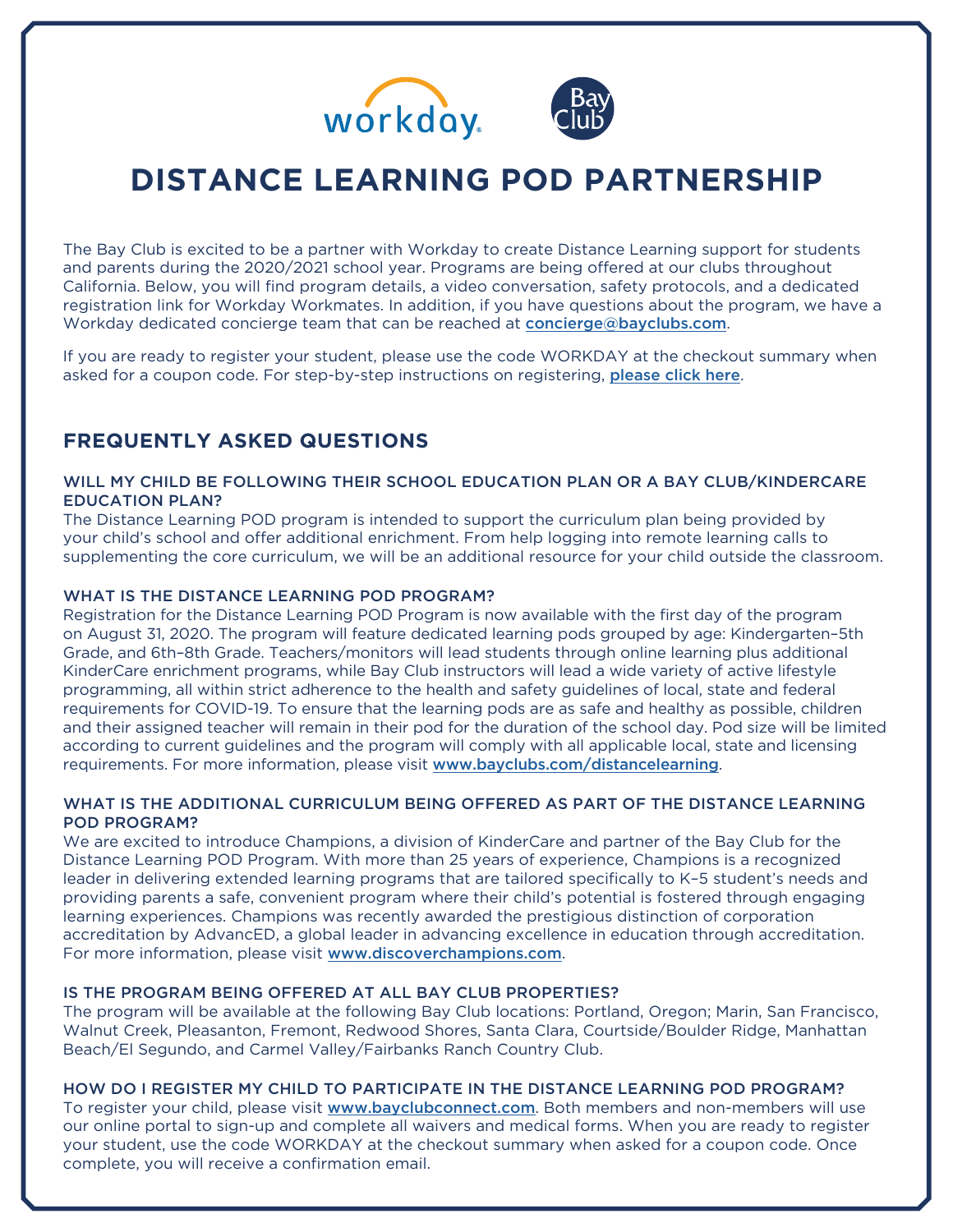



# **DISTANCE LEARNING POD PARTNERSHIP**

The Bay Club is excited to be a partner with Workday to create Distance Learning support for students and parents during the 2020/2021 school year. Programs are being offered at our clubs throughout California. Below, you will find program details, a video conversation, safety protocols, and a dedicated registration link for Workday Workmates. In addition, if you have questions about the program, we have a Workday dedicated concierge team that can be reached at [concierge@bayclubs.com](mailto:concierge%40bayclubs.com?subject=Workday%20Concierge%20Team).

If you are ready to register your student, please use the code WORKDAY at the checkout summary when asked for a coupon code. For step-by-step instructions on registering, [please click here](https://vimeo.com/449112872).

# **FREQUENTLY ASKED QUESTIONS**

# WILL MY CHILD BE FOLLOWING THEIR SCHOOL EDUCATION PLAN OR A BAY CLUB/KINDERCARE EDUCATION PLAN?

The Distance Learning POD program is intended to support the curriculum plan being provided by your child's school and offer additional enrichment. From help logging into remote learning calls to supplementing the core curriculum, we will be an additional resource for your child outside the classroom.

# WHAT IS THE DISTANCE LEARNING POD PROGRAM?

Registration for the Distance Learning POD Program is now available with the first day of the program on August 31, 2020. The program will feature dedicated learning pods grouped by age: Kindergarten–5th Grade, and 6th–8th Grade. Teachers/monitors will lead students through online learning plus additional KinderCare enrichment programs, while Bay Club instructors will lead a wide variety of active lifestyle programming, all within strict adherence to the health and safety guidelines of local, state and federal requirements for COVID-19. To ensure that the learning pods are as safe and healthy as possible, children and their assigned teacher will remain in their pod for the duration of the school day. Pod size will be limited according to current guidelines and the program will comply with all applicable local, state and licensing requirements. For more information, please visit [www.bayclubs.com/distancelearning](http://www.bayclubs.com/distancelearning).

# WHAT IS THE ADDITIONAL CURRICULUM BEING OFFERED AS PART OF THE DISTANCE LEARNING POD PROGRAM?

We are excited to introduce Champions, a division of KinderCare and partner of the Bay Club for the Distance Learning POD Program. With more than 25 years of experience, Champions is a recognized leader in delivering extended learning programs that are tailored specifically to K–5 student's needs and providing parents a safe, convenient program where their child's potential is fostered through engaging learning experiences. Champions was recently awarded the prestigious distinction of corporation accreditation by AdvancED, a global leader in advancing excellence in education through accreditation. For more information, please visit [www.discoverchampions.com](http://www.discoverchampions.com).

# IS THE PROGRAM BEING OFFERED AT ALL BAY CLUB PROPERTIES?

The program will be available at the following Bay Club locations: Portland, Oregon; Marin, San Francisco, Walnut Creek, Pleasanton, Fremont, Redwood Shores, Santa Clara, Courtside/Boulder Ridge, Manhattan Beach/El Segundo, and Carmel Valley/Fairbanks Ranch Country Club.

#### HOW DO I REGISTER MY CHILD TO PARTICIPATE IN THE DISTANCE LEARNING POD PROGRAM?

To register your child, please visit [www.bayclubconnect.com](https://bayclubconnect.com/account/sign-up/guest). Both members and non-members will use our online portal to sign-up and complete all waivers and medical forms. When you are ready to register your student, use the code WORKDAY at the checkout summary when asked for a coupon code. Once complete, you will receive a confirmation email.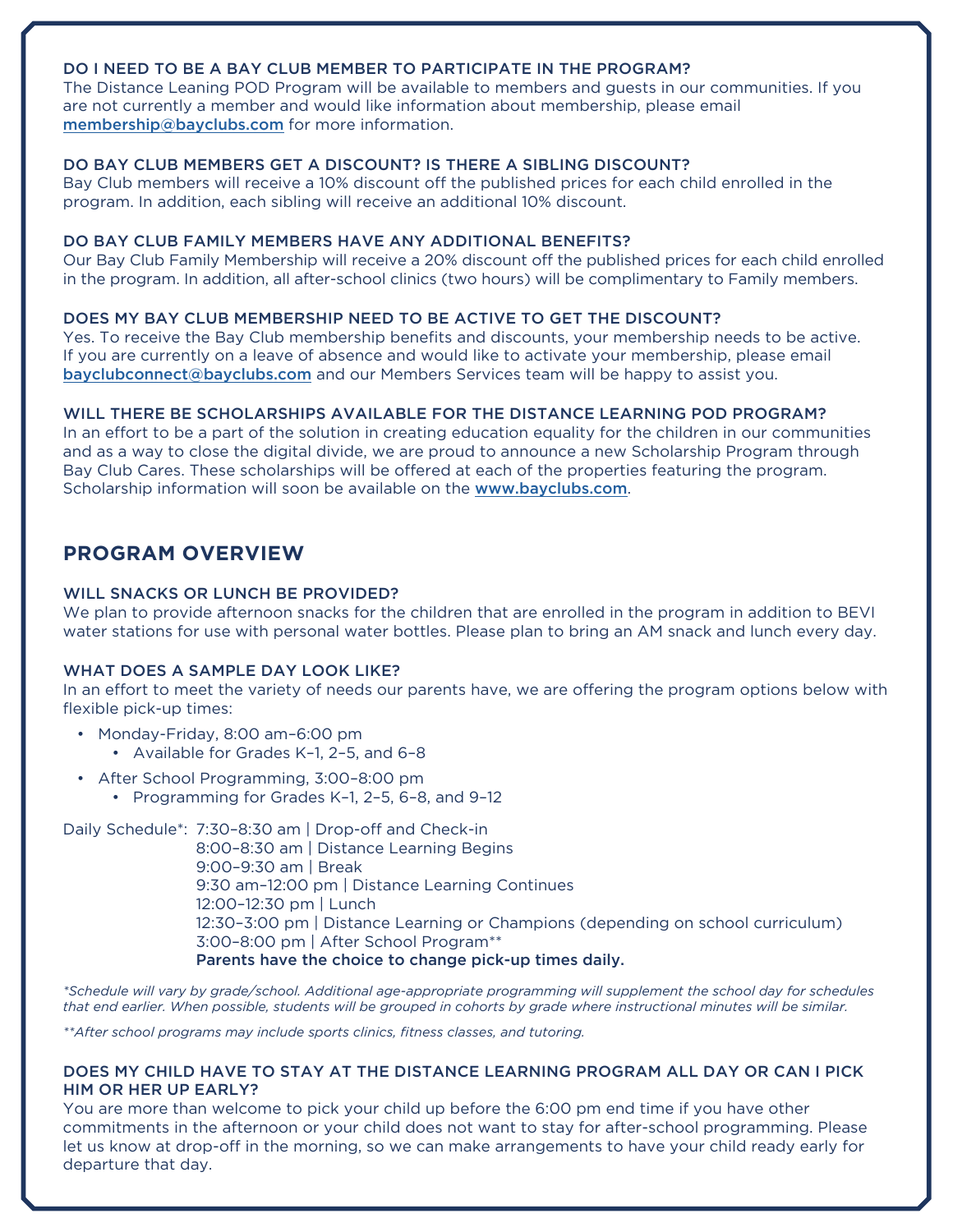# DO I NEED TO BE A BAY CLUB MEMBER TO PARTICIPATE IN THE PROGRAM?

The Distance Leaning POD Program will be available to members and guests in our communities. If you are not currently a member and would like information about membership, please email [membership@bayclubs.com](mailto:membership%40bayclubs.com?subject=Bay%20Club%20Membership) for more information.

#### DO BAY CLUB MEMBERS GET A DISCOUNT? IS THERE A SIBLING DISCOUNT?

Bay Club members will receive a 10% discount off the published prices for each child enrolled in the program. In addition, each sibling will receive an additional 10% discount.

#### DO BAY CLUB FAMILY MEMBERS HAVE ANY ADDITIONAL BENEFITS?

Our Bay Club Family Membership will receive a 20% discount off the published prices for each child enrolled in the program. In addition, all after-school clinics (two hours) will be complimentary to Family members.

#### DOES MY BAY CLUB MEMBERSHIP NEED TO BE ACTIVE TO GET THE DISCOUNT?

Yes. To receive the Bay Club membership benefits and discounts, your membership needs to be active. If you are currently on a leave of absence and would like to activate your membership, please email [bayclubconnect@bayclubs.com](mailto:bayclubconnect%40bayclubs.com?subject=Please%20Activate%20My%20Membership) and our Members Services team will be happy to assist you.

#### WILL THERE BE SCHOLARSHIPS AVAILABLE FOR THE DISTANCE LEARNING POD PROGRAM?

In an effort to be a part of the solution in creating education equality for the children in our communities and as a way to close the digital divide, we are proud to announce a new Scholarship Program through Bay Club Cares. These scholarships will be offered at each of the properties featuring the program. Scholarship information will soon be available on the [www.bayclubs.com](http://www.bayclubs.com).

# **PROGRAM OVERVIEW**

#### WILL SNACKS OR LUNCH BE PROVIDED?

We plan to provide afternoon snacks for the children that are enrolled in the program in addition to BEVI water stations for use with personal water bottles. Please plan to bring an AM snack and lunch every day.

#### WHAT DOES A SAMPLE DAY LOOK LIKE?

In an effort to meet the variety of needs our parents have, we are offering the program options below with flexible pick-up times:

- Monday-Friday, 8:00 am–6:00 pm
	- Available for Grades K–1, 2–5, and 6–8
- After School Programming, 3:00–8:00 pm
	- Programming for Grades K–1, 2–5, 6–8, and 9–12

Daily Schedule\*: 7:30–8:30 am | Drop-off and Check-in 8:00–8:30 am | Distance Learning Begins 9:00–9:30 am | Break 9:30 am–12:00 pm | Distance Learning Continues 12:00–12:30 pm | Lunch 12:30–3:00 pm | Distance Learning or Champions (depending on school curriculum) 3:00–8:00 pm | After School Program\*\* Parents have the choice to change pick-up times daily.

*\*Schedule will vary by grade/school. Additional age-appropriate programming will supplement the school day for schedules that end earlier. When possible, students will be grouped in cohorts by grade where instructional minutes will be similar.*

*\*\*After school programs may include sports clinics, fitness classes, and tutoring.*

## DOES MY CHILD HAVE TO STAY AT THE DISTANCE LEARNING PROGRAM ALL DAY OR CAN I PICK HIM OR HER UP EARLY?

You are more than welcome to pick your child up before the 6:00 pm end time if you have other commitments in the afternoon or your child does not want to stay for after-school programming. Please let us know at drop-off in the morning, so we can make arrangements to have your child ready early for departure that day.